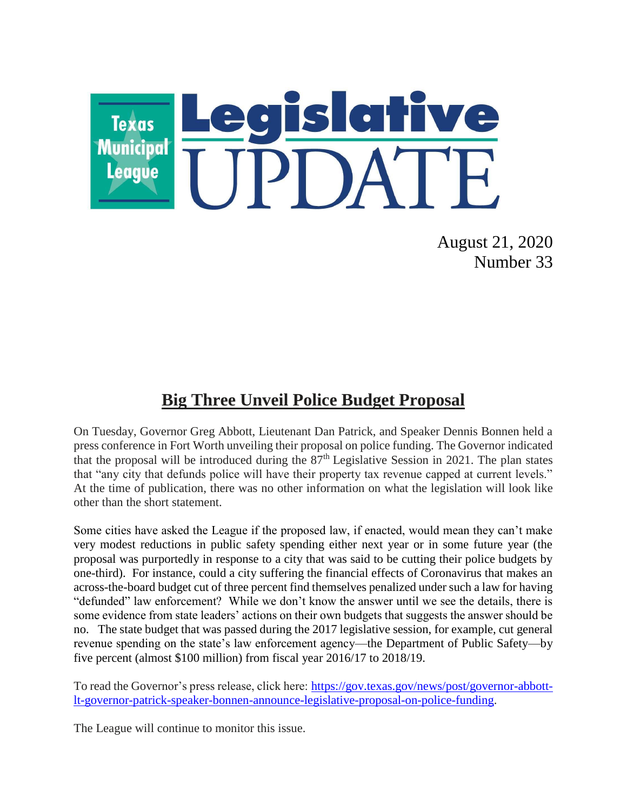

August 21, 2020 Number 33

## **Big Three Unveil Police Budget Proposal**

On Tuesday, Governor Greg Abbott, Lieutenant Dan Patrick, and Speaker Dennis Bonnen held a press conference in Fort Worth unveiling their proposal on police funding. The Governor indicated that the proposal will be introduced during the  $87<sup>th</sup>$  Legislative Session in 2021. The plan states that "any city that defunds police will have their property tax revenue capped at current levels." At the time of publication, there was no other information on what the legislation will look like other than the short statement.

Some cities have asked the League if the proposed law, if enacted, would mean they can't make very modest reductions in public safety spending either next year or in some future year (the proposal was purportedly in response to a city that was said to be cutting their police budgets by one-third). For instance, could a city suffering the financial effects of Coronavirus that makes an across-the-board budget cut of three percent find themselves penalized under such a law for having "defunded" law enforcement? While we don't know the answer until we see the details, there is some evidence from state leaders' actions on their own budgets that suggests the answer should be no. The state budget that was passed during the 2017 legislative session, for example, cut general revenue spending on the state's law enforcement agency—the Department of Public Safety—by five percent (almost \$100 million) from fiscal year 2016/17 to 2018/19.

To read the Governor's press release, click here: [https://gov.texas.gov/news/post/governor-abbott](https://gov.texas.gov/news/post/governor-abbott-lt-governor-patrick-speaker-bonnen-announce-legislative-proposal-on-police-funding)[lt-governor-patrick-speaker-bonnen-announce-legislative-proposal-on-police-funding.](https://gov.texas.gov/news/post/governor-abbott-lt-governor-patrick-speaker-bonnen-announce-legislative-proposal-on-police-funding)

The League will continue to monitor this issue.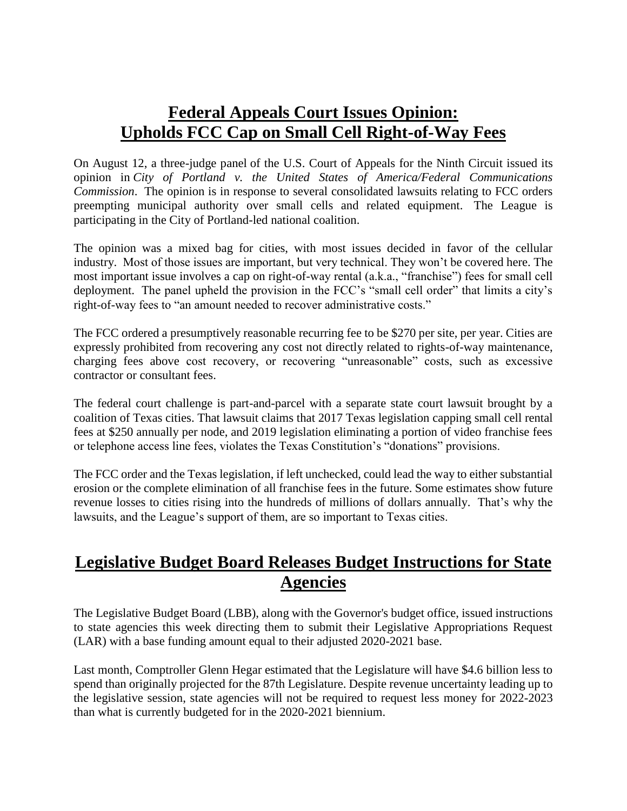## **Federal Appeals Court Issues Opinion: Upholds FCC Cap on Small Cell Right-of-Way Fees**

On August 12, a three-judge panel of the U.S. Court of Appeals for the Ninth Circuit issued its opinion in *City of Portland v. the United States of America/Federal Communications Commission*. The opinion is in response to several consolidated lawsuits relating to FCC orders preempting municipal authority over small cells and related equipment. The League is participating in the City of Portland-led national coalition.

The opinion was a mixed bag for cities, with most issues decided in favor of the cellular industry. Most of those issues are important, but very technical. They won't be covered here. The most important issue involves a cap on right-of-way rental (a.k.a., "franchise") fees for small cell deployment. The panel upheld the provision in the FCC's "small cell order" that limits a city's right-of-way fees to "an amount needed to recover administrative costs."

The FCC ordered a presumptively reasonable recurring fee to be \$270 per site, per year. Cities are expressly prohibited from recovering any cost not directly related to rights-of-way maintenance, charging fees above cost recovery, or recovering "unreasonable" costs, such as excessive contractor or consultant fees.

The federal court challenge is part-and-parcel with a separate state court lawsuit brought by a coalition of Texas cities. That lawsuit claims that 2017 Texas legislation capping small cell rental fees at \$250 annually per node, and 2019 legislation eliminating a portion of video franchise fees or telephone access line fees, violates the Texas Constitution's "donations" provisions.

The FCC order and the Texas legislation, if left unchecked, could lead the way to either substantial erosion or the complete elimination of all franchise fees in the future. Some estimates show future revenue losses to cities rising into the hundreds of millions of dollars annually. That's why the lawsuits, and the League's support of them, are so important to Texas cities.

## **Legislative Budget Board Releases Budget Instructions for State Agencies**

The Legislative Budget Board (LBB), along with the Governor's budget office, issued instructions to state agencies this week directing them to submit their Legislative Appropriations Request (LAR) with a base funding amount equal to their adjusted 2020-2021 base.

Last month, Comptroller Glenn Hegar estimated that the Legislature will have \$4.6 billion less to spend than originally projected for the 87th Legislature. Despite revenue uncertainty leading up to the legislative session, state agencies will not be required to request less money for 2022-2023 than what is currently budgeted for in the 2020-2021 biennium.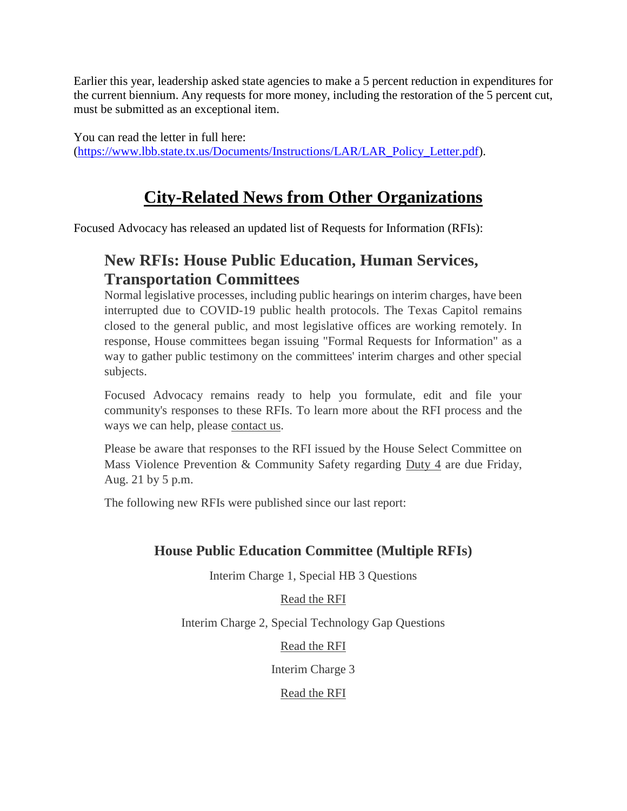Earlier this year, leadership asked state agencies to make a 5 percent reduction in expenditures for the current biennium. Any requests for more money, including the restoration of the 5 percent cut, must be submitted as an exceptional item.

You can read the letter in full here: [\(https://www.lbb.state.tx.us/Documents/Instructions/LAR/LAR\\_Policy\\_Letter.pdf\)](https://www.lbb.state.tx.us/Documents/Instructions/LAR/LAR_Policy_Letter.pdf).

## **City-Related News from Other Organizations**

Focused Advocacy has released an updated list of Requests for Information (RFIs):

## **New RFIs: House Public Education, Human Services, Transportation Committees**

Normal legislative processes, including public hearings on interim charges, have been interrupted due to COVID-19 public health protocols. The Texas Capitol remains closed to the general public, and most legislative offices are working remotely. In response, House committees began issuing "Formal Requests for Information" as a way to gather public testimony on the committees' interim charges and other special subjects.

Focused Advocacy remains ready to help you formulate, edit and file your community's responses to these RFIs. To learn more about the RFI process and the ways we can help, please [contact us.](mailto:christina@focusedadvocacy.com)

Please be aware that responses to the RFI issued by the House Select Committee on Mass Violence Prevention & Community Safety regarding [Duty 4](https://t.e2ma.net/click/l2fsfd/988xck/twku6t) are due Friday, Aug. 21 by 5 p.m.

The following new RFIs were published since our last report:

### **House Public Education Committee (Multiple RFIs)**

Interim Charge 1, Special HB 3 Questions

[Read the RFI](https://t.e2ma.net/click/l2fsfd/988xck/9olu6t)

Interim Charge 2, Special Technology Gap Questions

[Read the RFI](https://t.e2ma.net/click/l2fsfd/988xck/phmu6t)

Interim Charge 3

[Read the RFI](https://t.e2ma.net/click/l2fsfd/988xck/59mu6t)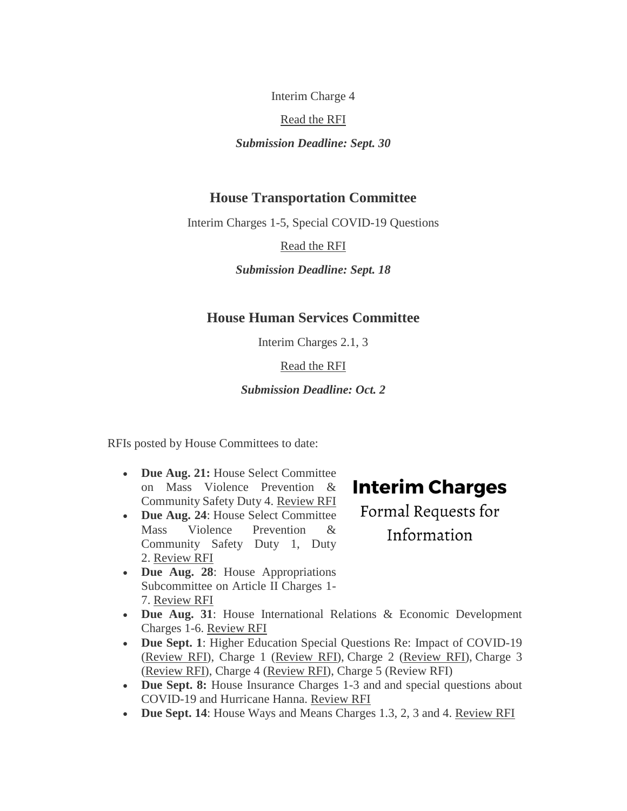Interim Charge 4

[Read the RFI](https://t.e2ma.net/click/l2fsfd/988xck/l2nu6t)

*Submission Deadline: Sept. 30*

#### **House Transportation Committee**

Interim Charges 1-5, Special COVID-19 Questions

[Read the RFI](https://t.e2ma.net/click/l2fsfd/988xck/1uou6t)

*Submission Deadline: Sept. 18*

#### **House Human Services Committee**

Interim Charges 2.1, 3

[Read the RFI](https://t.e2ma.net/click/l2fsfd/988xck/hnpu6t)

#### *Submission Deadline: Oct. 2*

RFIs posted by House Committees to date:

- **Due Aug. 21:** House Select Committee on Mass Violence Prevention & Community Safety Duty 4. [Review RFI](https://t.e2ma.net/click/l2fsfd/988xck/xfqu6t)
- **Due Aug. 24: House Select Committee** Mass Violence Prevention & Community Safety Duty 1, Duty 2. [Review RFI](https://t.e2ma.net/click/l2fsfd/988xck/d8qu6t)
- Due Aug. 28: House Appropriations Subcommittee on Article II Charges 1- 7. [Review RFI](https://t.e2ma.net/click/l2fsfd/988xck/t0ru6t)

# **Interim Charges**

Formal Requests for Information

- **Due Aug. 31**: House International Relations & Economic Development Charges 1-6. [Review RFI](https://t.e2ma.net/click/l2fsfd/988xck/9ssu6t)
- **Due Sept. 1**: Higher Education Special Questions Re: Impact of COVID-19 [\(Review RFI\)](https://t.e2ma.net/click/l2fsfd/988xck/pltu6t), Charge 1 [\(Review RFI\)](https://t.e2ma.net/click/l2fsfd/988xck/5duu6t), Charge 2 [\(Review RFI\)](https://t.e2ma.net/click/l2fsfd/988xck/l6uu6t), Charge 3 [\(Review RFI\)](https://t.e2ma.net/click/l2fsfd/988xck/1yvu6t), Charge 4 [\(Review RFI\)](https://t.e2ma.net/click/l2fsfd/988xck/hrwu6t), Charge 5 (Review RFI)
- **Due Sept. 8:** House Insurance Charges 1-3 and and special questions about COVID-19 and Hurricane Hanna. [Review RFI](https://t.e2ma.net/click/l2fsfd/988xck/xjxu6t)
- Due Sept. 14: House Ways and Means Charges 1.3, 2, 3 and 4. <u>Review RFI</u>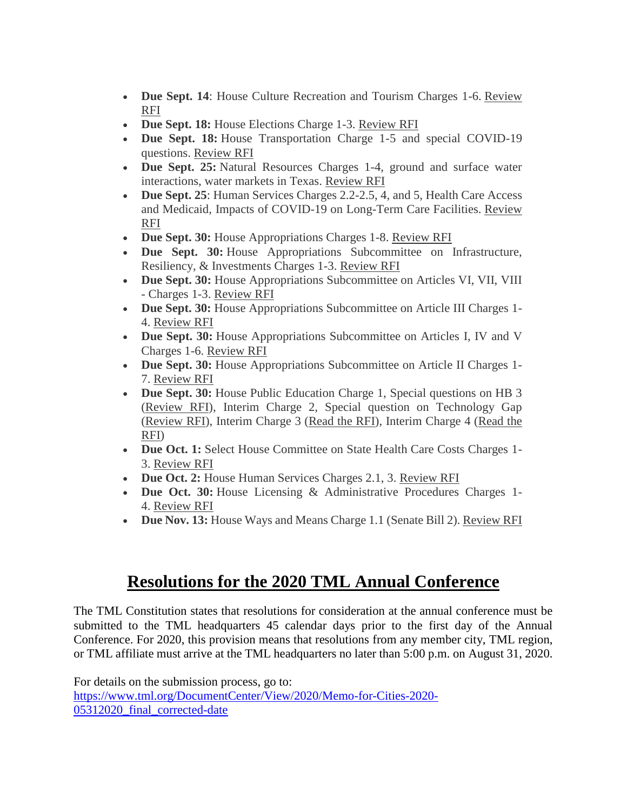- **Due Sept. 14**: House Culture Recreation and Tourism Charges 1-6. Review [RFI](https://t.e2ma.net/click/l2fsfd/988xck/t4yu6t)
- **Due Sept. 18:** House Elections Charge 1-3. [Review RFI](https://t.e2ma.net/click/l2fsfd/988xck/9wzu6t)
- Due Sept. 18: House Transportation Charge 1-5 and special COVID-19 questions. [Review RFI](https://t.e2ma.net/click/l2fsfd/988xck/pp0u6t)
- **Due Sept. 25:** Natural Resources Charges 1-4, ground and surface water interactions, water markets in Texas. [Review RFI](https://t.e2ma.net/click/l2fsfd/988xck/5h1u6t)
- **Due Sept. 25**: Human Services Charges 2.2-2.5, 4, and 5, Health Care Access and Medicaid, Impacts of COVID-19 on Long-Term Care Facilities. [Review](https://t.e2ma.net/click/l2fsfd/988xck/la2u6t)  [RFI](https://t.e2ma.net/click/l2fsfd/988xck/la2u6t)
- **Due Sept. 30:** House Appropriations Charges 1-8. [Review RFI](https://t.e2ma.net/click/l2fsfd/988xck/122u6t)
- **Due Sept. 30:** House Appropriations Subcommittee on Infrastructure, Resiliency, & Investments Charges 1-3. [Review RFI](https://t.e2ma.net/click/l2fsfd/988xck/hv3u6t)
- **Due Sept. 30:** House Appropriations Subcommittee on Articles VI, VII, VIII - Charges 1-3. [Review RFI](https://t.e2ma.net/click/l2fsfd/988xck/xn4u6t)
- **Due Sept. 30:** House Appropriations Subcommittee on Article III Charges 1- 4. [Review RFI](https://t.e2ma.net/click/l2fsfd/988xck/dg5u6t)
- **Due Sept. 30:** House Appropriations Subcommittee on Articles I, IV and V Charges 1-6. [Review RFI](https://t.e2ma.net/click/l2fsfd/988xck/t85u6t)
- **Due Sept. 30:** House Appropriations Subcommittee on Article II Charges 1- 7. [Review RFI](https://t.e2ma.net/click/l2fsfd/988xck/906u6t)
- **Due Sept. 30:** House Public Education Charge 1, Special questions on HB 3 [\(Review RFI\)](https://t.e2ma.net/click/l2fsfd/988xck/pt7u6t), Interim Charge 2, Special question on Technology Gap [\(Review RFI\)](https://t.e2ma.net/click/l2fsfd/988xck/5l8u6t), Interim Charge 3 [\(Read the RFI\)](https://t.e2ma.net/click/l2fsfd/988xck/le9u6t), Interim Charge 4 [\(Read the](https://t.e2ma.net/click/l2fsfd/988xck/169u6t)  [RFI\)](https://t.e2ma.net/click/l2fsfd/988xck/169u6t)
- **Due Oct. 1:** Select House Committee on State Health Care Costs Charges 1- 3. [Review RFI](https://t.e2ma.net/click/l2fsfd/988xck/hzav6t)
- **Due Oct. 2:** House Human Services Charges 2.1, 3. [Review RFI](https://t.e2ma.net/click/l2fsfd/988xck/xrbv6t)
- **Due Oct. 30:** House Licensing & Administrative Procedures Charges 1- 4. [Review RFI](https://t.e2ma.net/click/l2fsfd/988xck/dkcv6t)
- **Due Nov. 13:** House Ways and Means Charge 1.1 (Senate Bill 2). [Review RFI](https://t.e2ma.net/click/l2fsfd/988xck/tcdv6t)

## **Resolutions for the 2020 TML Annual Conference**

The TML Constitution states that resolutions for consideration at the annual conference must be submitted to the TML headquarters 45 calendar days prior to the first day of the Annual Conference. For 2020, this provision means that resolutions from any member city, TML region, or TML affiliate must arrive at the TML headquarters no later than 5:00 p.m. on August 31, 2020.

For details on the submission process, go to: [https://www.tml.org/DocumentCenter/View/2020/Memo-for-Cities-2020-](https://www.tml.org/DocumentCenter/View/2020/Memo-for-Cities-2020-05312020_final_corrected-date) [05312020\\_final\\_corrected-date](https://www.tml.org/DocumentCenter/View/2020/Memo-for-Cities-2020-05312020_final_corrected-date)